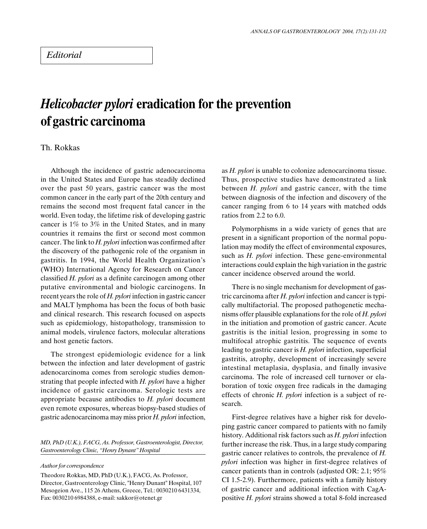## Helicobacter pylori eradication for the prevention of gastric carcinoma

## Th. Rokkas

Although the incidence of gastric adenocarcinoma in the United States and Europe has steadily declined over the past 50 years, gastric cancer was the most common cancer in the early part of the 20th century and remains the second most frequent fatal cancer in the world. Even today, the lifetime risk of developing gastric cancer is 1% to 3% in the United States, and in many countries it remains the first or second most common cancer. The link to  $H.$  pylori infection was confirmed after the discovery of the pathogenic role of the organism in gastritis. In 1994, the World Health Organization's (WHO) International Agency for Research on Cancer classified  $H$ . pylori as a definite carcinogen among other putative environmental and biologic carcinogens. In recent years the role of H. pylori infection in gastric cancer and MALT lymphoma has been the focus of both basic and clinical research. This research focused on aspects such as epidemiology, histopathology, transmission to animal models, virulence factors, molecular alterations and host genetic factors.

The strongest epidemiologic evidence for a link between the infection and later development of gastric adenocarcinoma comes from serologic studies demonstrating that people infected with  $H.$  pylori have a higher incidence of gastric carcinoma. Serologic tests are appropriate because antibodies to  $H$ . pylori document even remote exposures, whereas biopsy-based studies of gastric adenocarcinoma may miss prior  $H$ . pylori infection,

MD, PhD (U.K.), FACG, As. Professor, Gastroenterologist, Director, Gastroenterology Clinic, "Henry Dynant" Hospital

Author for correspondence

Theodore Rokkas, MD, PhD (U.K.), FACG, As. Professor, Director, Gastroenterology Clinic, "Henry Dunant" Hospital, 107 Mesogeion Ave., 115 26 Athens, Greece, Tel.: 0030210 6431334, Fax: 0030210 6984388, e-mail: sakkor@otenet.gr

as *H. pylori* is unable to colonize adenocarcinoma tissue. Thus, prospective studies have demonstrated a link between  $H$ . *pylori* and gastric cancer, with the time between diagnosis of the infection and discovery of the cancer ranging from 6 to 14 years with matched odds ratios from 2.2 to 6.0.

Polymorphisms in a wide variety of genes that are present in a significant proportion of the normal population may modify the effect of environmental exposures, such as  $H.$  pylori infection. These gene-environmental interactions could explain the high variation in the gastric cancer incidence observed around the world.

There is no single mechanism for development of gastric carcinoma after  $H.$  pylori infection and cancer is typically multifactorial. The proposed pathogenetic mechanisms offer plausible explanations for the role of  $H$ . pylori in the initiation and promotion of gastric cancer. Acute gastritis is the initial lesion, progressing in some to multifocal atrophic gastritis. The sequence of events leading to gastric cancer is  $H.$  pylori infection, superficial gastritis, atrophy, development of increasingly severe intestinal metaplasia, dysplasia, and finally invasive carcinoma. The role of increased cell turnover or elaboration of toxic oxygen free radicals in the damaging effects of chronic  $H$ . pylori infection is a subject of research.

First-degree relatives have a higher risk for developing gastric cancer compared to patients with no family history. Additional risk factors such as  $H.$  pylori infection further increase the risk. Thus, in a large study comparing gastric cancer relatives to controls, the prevalence of  $H$ . pylori infection was higher in first-degree relatives of cancer patients than in controls (adjusted OR: 2.1; 95% CI 1.5-2.9). Furthermore, patients with a family history of gastric cancer and additional infection with CagApositive H. pylori strains showed a total 8-fold increased